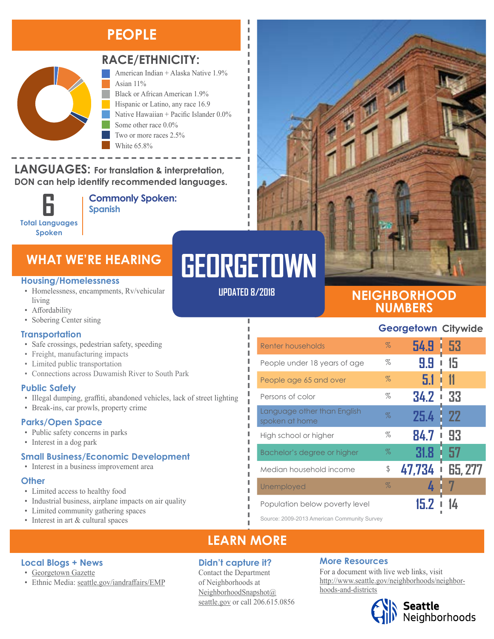## **PEOPLE**



#### **RACE/ETHNICITY:**

American Indian + Alaska Native 1.9% Asian 11% Black or African American 1.9%

Hispanic or Latino, any race 16.9 Native Hawaiian + Pacific Islander 0.0% Some other race 0.0% Two or more races 2.5%

White 65.8%

#### **LANGUAGES:** For translation & interpretation, **DON can help identify recommended languages.** TWO OR MORE RACES IN A 4

**Total Languages Spoken**

**Commonly Spoken: 6 Spanish** 

## **WHAT WE'RE HEARING**

#### **Housing/Homelessness**

- Homelessness, encampments, Rv/vehicular living
- Affordability
- Sobering Center siting

#### **Transportation**

- Safe crossings, pedestrian safety, speeding
- Freight, manufacturing impacts
- Limited public transportation
- Connections across Duwamish River to South Park

#### **Public Safety**

- Illegal dumping, graffiti, abandoned vehicles, lack of street lighting
- Break-ins, car prowls, property crime

#### **Parks/Open Space**

- Public safety concerns in parks
- Interest in a dog park

#### **Small Business/Economic Development**

• Interest in a business improvement area

#### **Other**

- Limited access to healthy food
- Industrial business, airplane impacts on air quality
- Limited community gathering spaces

• Ethnic Media: [seattle.gov/iandraffairs/EMP](http://www.seattle.gov/iandraffairs/EMP)

• Interest in art & cultural spaces

**Local Blogs + News** • [Georgetown Gazette](https://www.georgetowncommunitycouncil.com/)

# **GEORGETOWN**

л I I л л

J.

л п

п П Ī

Л

**UPDATED 8/2018**

#### **NEIGHBORHOOD NUMBERS**

#### **Georgetown Citywide**

| Renter households                             | $\%$ | 54.9   | 53<br>ī        |
|-----------------------------------------------|------|--------|----------------|
| People under 18 years of age                  | $\%$ | 9.9    | 15             |
| People age 65 and over                        | $\%$ | 5.1    | 11             |
| Persons of color                              | $\%$ | 34.2   | 33             |
| Language other than English<br>spoken at home | Z    | 25.4   | 22             |
| High school or higher                         | %    | 84.7   | 93             |
| Bachelor's degree or higher                   | $\%$ | 31.8   | 57             |
| Median household income                       | \$   | 47,734 | <b>65, 277</b> |
| Unemployed                                    | $\%$ |        |                |
| Population below poverty level                |      |        |                |

Source: 2009-2013 American Community Survey

### **LEARN MORE**

#### **Didn't capture it?**

Contact the Department of Neighborhoods at [NeighborhoodSnapshot@](mailto:NeighborhoodSnapshot%40%0Aseattle.gov?subject=) [seattle.gov](mailto:NeighborhoodSnapshot%40%0Aseattle.gov?subject=) or call 206.615.0856

#### **More Resources**

For a document with live web links, visit [http://www.seattle.gov/neighborhoods/neighbor](http://www.seattle.gov/neighborhoods/neighborhoods-and-districts)[hoods-and-districts](http://www.seattle.gov/neighborhoods/neighborhoods-and-districts)

## **Seattle**<br>Neighborhoods